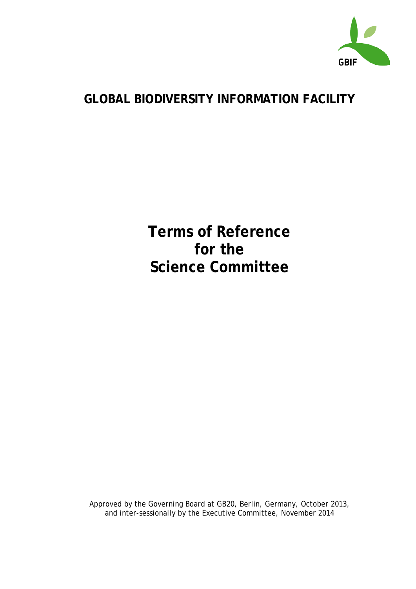

# **GLOBAL BIODIVERSITY INFORMATION FACILITY**

**Terms of Reference for the Science Committee**

Approved by the Governing Board at GB20, Berlin, Germany, October 2013, and inter-sessionally by the Executive Committee, November 2014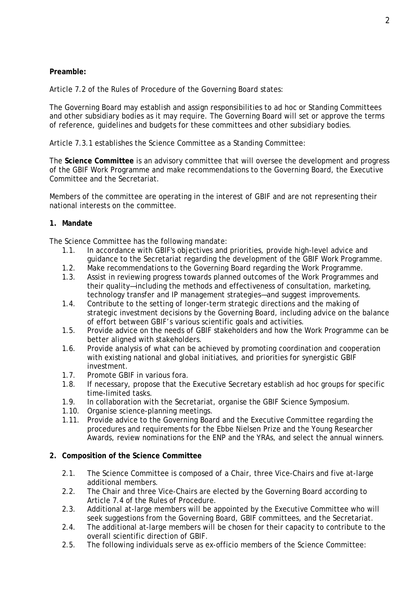### **Preamble:**

Article 7.2 of the Rules of Procedure of the Governing Board states:

The Governing Board may establish and assign responsibilities to *ad hoc* or Standing Committees and other subsidiary bodies as it may require. The Governing Board will set or approve the terms of reference, guidelines and budgets for these committees and other subsidiary bodies.

Article 7.3.1 establishes the Science Committee as a Standing Committee:

The **Science Committee** is an advisory committee that will oversee the development and progress of the GBIF Work Programme and make recommendations to the Governing Board, the Executive Committee and the Secretariat.

Members of the committee are operating in the interest of GBIF and are not representing their national interests on the committee.

### **1. Mandate**

The Science Committee has the following mandate:

- 1.1. In accordance with GBIF's objectives and priorities, provide high-level advice and guidance to the Secretariat regarding the development of the GBIF Work Programme.
- 1.2. Make recommendations to the Governing Board regarding the Work Programme.
- 1.3. Assist in reviewing progress towards planned outcomes of the Work Programmes and their quality—including the methods and effectiveness of consultation, marketing, technology transfer and IP management strategies—and suggest improvements.
- 1.4. Contribute to the setting of longer-term strategic directions and the making of strategic investment decisions by the Governing Board, including advice on the balance of effort between GBIF's various scientific goals and activities.
- 1.5. Provide advice on the needs of GBIF stakeholders and how the Work Programme can be better aligned with stakeholders.
- 1.6. Provide analysis of what can be achieved by promoting coordination and cooperation with existing national and global initiatives, and priorities for synergistic GBIF investment.
- 1.7. Promote GBIF in various fora.
- 1.8. If necessary, propose that the Executive Secretary establish *ad hoc* groups for specific time-limited tasks.
- 1.9. In collaboration with the Secretariat, organise the GBIF Science Symposium.
- 1.10. Organise science-planning meetings.
- 1.11. Provide advice to the Governing Board and the Executive Committee regarding the procedures and requirements for the Ebbe Nielsen Prize and the Young Researcher Awards, review nominations for the ENP and the YRAs, and select the annual winners.

#### **2. Composition of the Science Committee**

- 2.1. The Science Committee is composed of a Chair, three Vice-Chairs and five at-large additional members.
- 2.2. The Chair and three Vice-Chairs are elected by the Governing Board according to Article 7.4 of the Rules of Procedure.
- 2.3. Additional at-large members will be appointed by the Executive Committee who will seek suggestions from the Governing Board, GBIF committees, and the Secretariat.
- 2.4. The additional at-large members will be chosen for their capacity to contribute to the overall scientific direction of GBIF.
- 2.5. The following individuals serve as ex-officio members of the Science Committee: